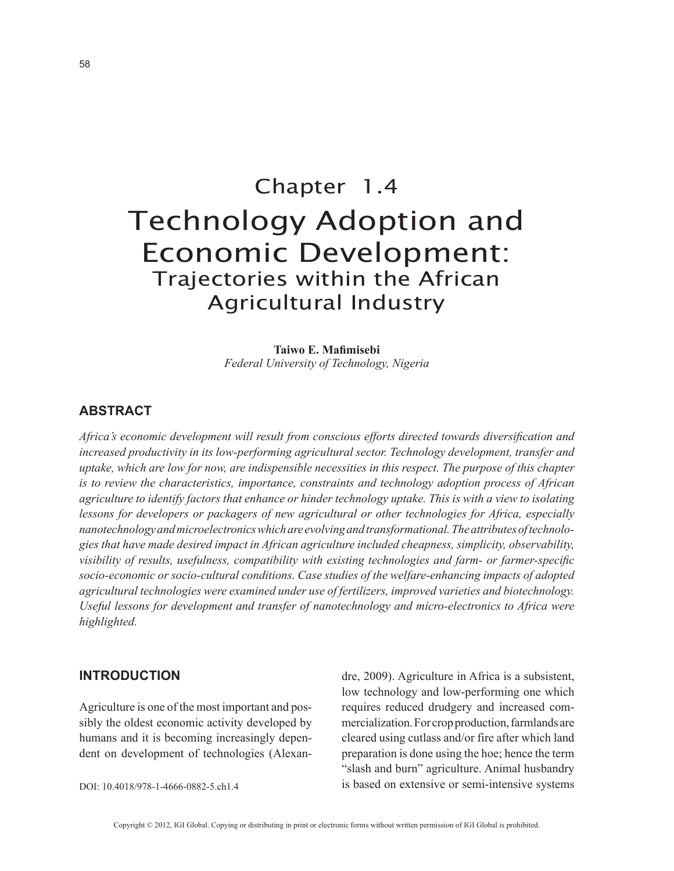# Chapter 1.4 Technology Adoption and Economic Development: Trajectories within the African Agricultural Industry

**Taiwo E. Mafimisebi** *Federal University of Technology, Nigeria*

# **ABSTRACT**

*Africa's economic development will result from conscious efforts directed towards diversification and increased productivity in its low-performing agricultural sector. Technology development, transfer and uptake, which are low for now, are indispensible necessities in this respect. The purpose of this chapter is to review the characteristics, importance, constraints and technology adoption process of African agriculture to identify factors that enhance or hinder technology uptake. This is with a view to isolating lessons for developers or packagers of new agricultural or other technologies for Africa, especially nanotechnology and microelectronics which are evolving and transformational. The attributes of technologies that have made desired impact in African agriculture included cheapness, simplicity, observability, visibility of results, usefulness, compatibility with existing technologies and farm- or farmer-specific socio-economic or socio-cultural conditions. Case studies of the welfare-enhancing impacts of adopted agricultural technologies were examined under use of fertilizers, improved varieties and biotechnology. Useful lessons for development and transfer of nanotechnology and micro-electronics to Africa were highlighted.*

#### **INTRODUCTION**

Agriculture is one of the most important and possibly the oldest economic activity developed by humans and it is becoming increasingly dependent on development of technologies (Alexan-

DOI: 10.4018/978-1-4666-0882-5.ch1.4

dre, 2009). Agriculture in Africa is a subsistent, low technology and low-performing one which requires reduced drudgery and increased commercialization. For crop production, farmlands are cleared using cutlass and/or fire after which land preparation is done using the hoe; hence the term "slash and burn" agriculture. Animal husbandry is based on extensive or semi-intensive systems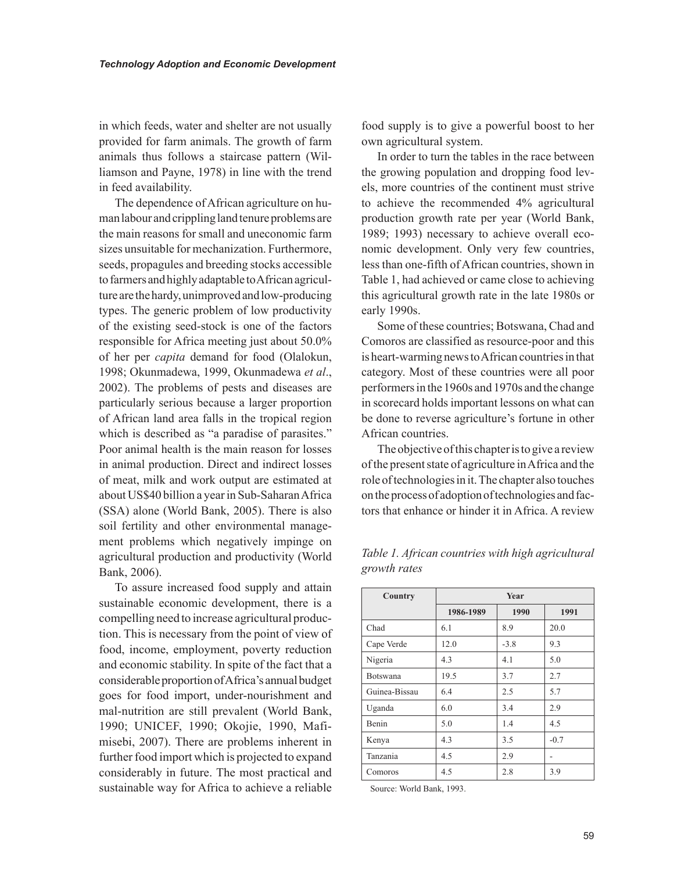in which feeds, water and shelter are not usually provided for farm animals. The growth of farm animals thus follows a staircase pattern (Williamson and Payne, 1978) in line with the trend in feed availability.

The dependence of African agriculture on human labour and crippling land tenure problems are the main reasons for small and uneconomic farm sizes unsuitable for mechanization. Furthermore, seeds, propagules and breeding stocks accessible to farmers and highly adaptable to African agriculture are the hardy, unimproved and low-producing types. The generic problem of low productivity of the existing seed-stock is one of the factors responsible for Africa meeting just about 50.0% of her per *capita* demand for food (Olalokun, 1998; Okunmadewa, 1999, Okunmadewa *et al*., 2002). The problems of pests and diseases are particularly serious because a larger proportion of African land area falls in the tropical region which is described as "a paradise of parasites." Poor animal health is the main reason for losses in animal production. Direct and indirect losses of meat, milk and work output are estimated at about US\$40 billion a year in Sub-Saharan Africa (SSA) alone (World Bank, 2005). There is also soil fertility and other environmental management problems which negatively impinge on agricultural production and productivity (World Bank, 2006).

To assure increased food supply and attain sustainable economic development, there is a compelling need to increase agricultural production. This is necessary from the point of view of food, income, employment, poverty reduction and economic stability. In spite of the fact that a considerable proportion of Africa's annual budget goes for food import, under-nourishment and mal-nutrition are still prevalent (World Bank, 1990; UNICEF, 1990; Okojie, 1990, Mafimisebi, 2007). There are problems inherent in further food import which is projected to expand considerably in future. The most practical and sustainable way for Africa to achieve a reliable

food supply is to give a powerful boost to her own agricultural system.

In order to turn the tables in the race between the growing population and dropping food levels, more countries of the continent must strive to achieve the recommended 4% agricultural production growth rate per year (World Bank, 1989; 1993) necessary to achieve overall economic development. Only very few countries, less than one-fifth of African countries, shown in Table 1, had achieved or came close to achieving this agricultural growth rate in the late 1980s or early 1990s.

Some of these countries; Botswana, Chad and Comoros are classified as resource-poor and this is heart-warming news to African countries in that category. Most of these countries were all poor performers in the 1960s and 1970s and the change in scorecard holds important lessons on what can be done to reverse agriculture's fortune in other African countries.

The objective of this chapter is to give a review of the present state of agriculture in Africa and the role of technologies in it. The chapter also touches on the process of adoption of technologies and factors that enhance or hinder it in Africa. A review

| Country       | Year      |        |        |
|---------------|-----------|--------|--------|
|               | 1986-1989 | 1990   | 1991   |
| Chad          | 6.1       | 8.9    | 20.0   |
| Cape Verde    | 12.0      | $-3.8$ | 9.3    |
| Nigeria       | 4.3       | 4.1    | 5.0    |
| Botswana      | 19.5      | 3.7    | 2.7    |
| Guinea-Bissau | 6.4       | 2.5    | 5.7    |
| Uganda        | 6.0       | 3.4    | 2.9    |
| Benin         | 5.0       | 1.4    | 4.5    |
| Kenya         | 4.3       | 3.5    | $-0.7$ |
| Tanzania      | 4.5       | 2.9    |        |
| Comoros       | 4.5       | 2.8    | 3.9    |

*Table 1. African countries with high agricultural growth rates* 

Source: World Bank, 1993.